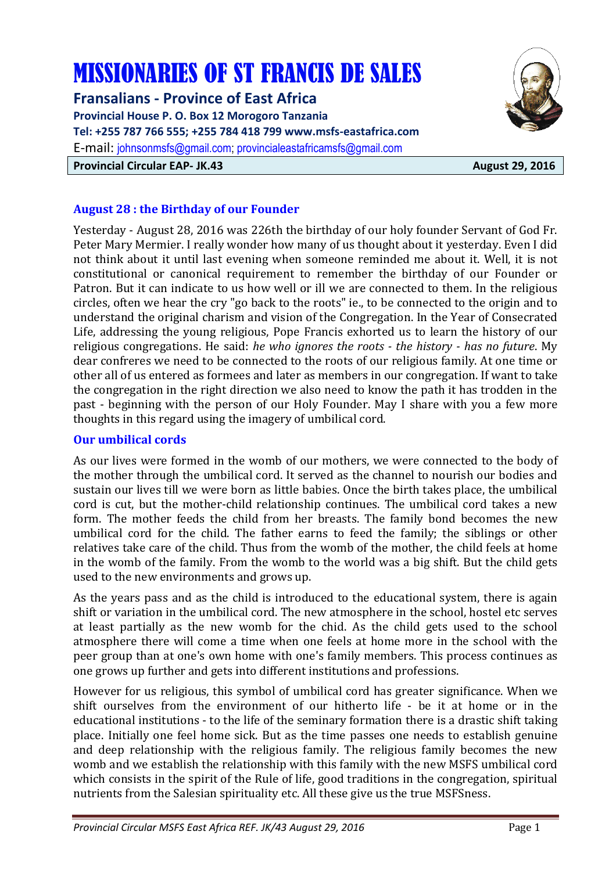# MISSIONARIES OF ST FRANCIS DE SALES

**Fransalians - Province of East Africa Provincial House P. O. Box 12 Morogoro Tanzania Tel: +255 787 766 555; +255 784 418 799 www.msfs-eastafrica.com**  E-mail: johnsonmsfs@gmail.com; provincialeastafricamsfs@gmail.com **Provincial Circular EAP- JK.43** August 29, 2016



# **August 28 : the Birthday of our Founder**

Yesterday - August 28, 2016 was 226th the birthday of our holy founder Servant of God Fr. Peter Mary Mermier. I really wonder how many of us thought about it yesterday. Even I did not think about it until last evening when someone reminded me about it. Well, it is not constitutional or canonical requirement to remember the birthday of our Founder or Patron. But it can indicate to us how well or ill we are connected to them. In the religious circles, often we hear the cry "go back to the roots" ie., to be connected to the origin and to understand the original charism and vision of the Congregation. In the Year of Consecrated Life, addressing the young religious, Pope Francis exhorted us to learn the history of our religious congregations. He said: *he who ignores the roots - the history - has no future*. My dear confreres we need to be connected to the roots of our religious family. At one time or other all of us entered as formees and later as members in our congregation. If want to take the congregation in the right direction we also need to know the path it has trodden in the past - beginning with the person of our Holy Founder. May I share with you a few more thoughts in this regard using the imagery of umbilical cord.

# **Our umbilical cords**

As our lives were formed in the womb of our mothers, we were connected to the body of the mother through the umbilical cord. It served as the channel to nourish our bodies and sustain our lives till we were born as little babies. Once the birth takes place, the umbilical cord is cut, but the mother-child relationship continues. The umbilical cord takes a new form. The mother feeds the child from her breasts. The family bond becomes the new umbilical cord for the child. The father earns to feed the family; the siblings or other relatives take care of the child. Thus from the womb of the mother, the child feels at home in the womb of the family. From the womb to the world was a big shift. But the child gets used to the new environments and grows up.

As the years pass and as the child is introduced to the educational system, there is again shift or variation in the umbilical cord. The new atmosphere in the school, hostel etc serves at least partially as the new womb for the chid. As the child gets used to the school atmosphere there will come a time when one feels at home more in the school with the peer group than at one's own home with one's family members. This process continues as one grows up further and gets into different institutions and professions.

However for us religious, this symbol of umbilical cord has greater significance. When we shift ourselves from the environment of our hitherto life - be it at home or in the educational institutions - to the life of the seminary formation there is a drastic shift taking place. Initially one feel home sick. But as the time passes one needs to establish genuine and deep relationship with the religious family. The religious family becomes the new womb and we establish the relationship with this family with the new MSFS umbilical cord which consists in the spirit of the Rule of life, good traditions in the congregation, spiritual nutrients from the Salesian spirituality etc. All these give us the true MSFSness.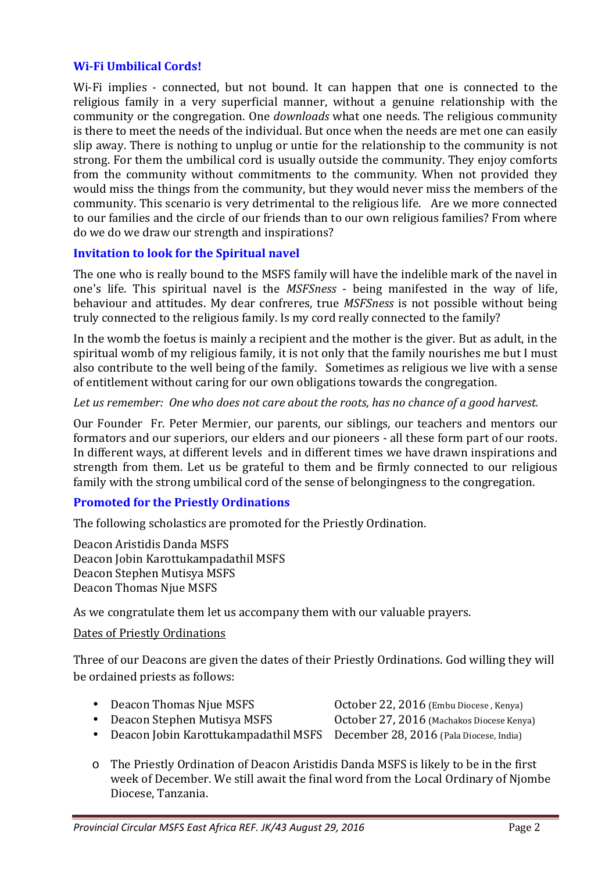#### **Wi-Fi Umbilical Cords!**

Wi-Fi implies - connected, but not bound. It can happen that one is connected to the religious family in a very superficial manner, without a genuine relationship with the community or the congregation. One *downloads* what one needs. The religious community is there to meet the needs of the individual. But once when the needs are met one can easily slip away. There is nothing to unplug or untie for the relationship to the community is not strong. For them the umbilical cord is usually outside the community. They enjoy comforts from the community without commitments to the community. When not provided they would miss the things from the community, but they would never miss the members of the community. This scenario is very detrimental to the religious life. Are we more connected to our families and the circle of our friends than to our own religious families? From where do we do we draw our strength and inspirations?

### **Invitation to look for the Spiritual navel**

The one who is really bound to the MSFS family will have the indelible mark of the navel in one's life. This spiritual navel is the *MSFSness* - being manifested in the way of life, behaviour and attitudes. My dear confreres, true *MSFSness* is not possible without being truly connected to the religious family. Is my cord really connected to the family?

In the womb the foetus is mainly a recipient and the mother is the giver. But as adult, in the spiritual womb of my religious family, it is not only that the family nourishes me but I must also contribute to the well being of the family. Sometimes as religious we live with a sense of entitlement without caring for our own obligations towards the congregation.

#### *Let us remember: One who does not care about the roots, has no chance of a good harvest.*

Our Founder Fr. Peter Mermier, our parents, our siblings, our teachers and mentors our formators and our superiors, our elders and our pioneers - all these form part of our roots. In different ways, at different levels and in different times we have drawn inspirations and strength from them. Let us be grateful to them and be firmly connected to our religious family with the strong umbilical cord of the sense of belongingness to the congregation.

### **Promoted for the Priestly Ordinations**

The following scholastics are promoted for the Priestly Ordination.

Deacon Aristidis Danda MSFS Deacon Jobin Karottukampadathil MSFS Deacon Stephen Mutisya MSFS Deacon Thomas Njue MSFS

As we congratulate them let us accompany them with our valuable prayers.

#### Dates of Priestly Ordinations

Three of our Deacons are given the dates of their Priestly Ordinations. God willing they will be ordained priests as follows:

- Deacon Thomas Njue MSFS 0ctober 22, 2016 (Embu Diocese, Kenya)
- Deacon Stephen Mutisya MSFS October 27, 2016 (Machakos Diocese Kenya)
- -
- Deacon Jobin Karottukampadathil MSFS December 28, 2016 (Pala Diocese, India)
- o The Priestly Ordination of Deacon Aristidis Danda MSFS is likely to be in the first week of December. We still await the final word from the Local Ordinary of Njombe Diocese, Tanzania.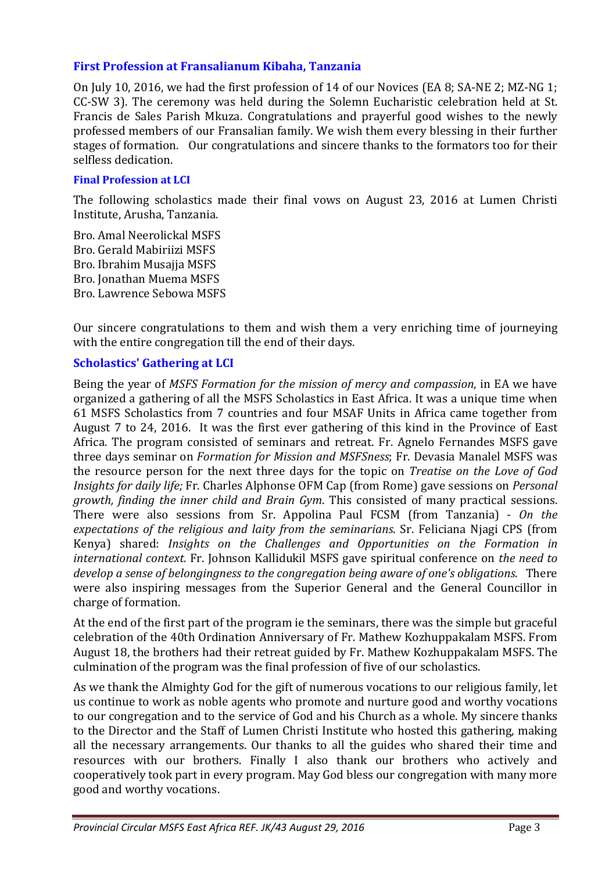## **First Profession at Fransalianum Kibaha, Tanzania**

On July 10, 2016, we had the first profession of 14 of our Novices (EA 8; SA-NE 2; MZ-NG 1; CC-SW 3). The ceremony was held during the Solemn Eucharistic celebration held at St. Francis de Sales Parish Mkuza. Congratulations and prayerful good wishes to the newly professed members of our Fransalian family. We wish them every blessing in their further stages of formation. Our congratulations and sincere thanks to the formators too for their selfless dedication.

#### **Final Profession at LCI**

The following scholastics made their final vows on August 23, 2016 at Lumen Christi Institute, Arusha, Tanzania.

Bro. Amal Neerolickal MSFS Bro. Gerald Mabiriizi MSFS Bro. Ibrahim Musajja MSFS Bro. Jonathan Muema MSFS Bro. Lawrence Sebowa MSFS

Our sincere congratulations to them and wish them a very enriching time of journeying with the entire congregation till the end of their days.

### **Scholastics' Gathering at LCI**

Being the year of *MSFS Formation for the mission of mercy and compassion*, in EA we have organized a gathering of all the MSFS Scholastics in East Africa. It was a unique time when 61 MSFS Scholastics from 7 countries and four MSAF Units in Africa came together from August 7 to 24, 2016. It was the first ever gathering of this kind in the Province of East Africa. The program consisted of seminars and retreat. Fr. Agnelo Fernandes MSFS gave three days seminar on *Formation for Mission and MSFSness*; Fr. Devasia Manalel MSFS was the resource person for the next three days for the topic on *Treatise on the Love of God Insights for daily life;* Fr. Charles Alphonse OFM Cap (from Rome) gave sessions on *Personal growth, finding the inner child and Brain Gym*. This consisted of many practical sessions. There were also sessions from Sr. Appolina Paul FCSM (from Tanzania) - *On the expectations of the religious and laity from the seminarians*. Sr. Feliciana Njagi CPS (from Kenya) shared: *Insights on the Challenges and Opportunities on the Formation in international context.* Fr. Johnson Kallidukil MSFS gave spiritual conference on *the need to develop a sense of belongingness to the congregation being aware of one's obligations*. There were also inspiring messages from the Superior General and the General Councillor in charge of formation.

At the end of the first part of the program ie the seminars, there was the simple but graceful celebration of the 40th Ordination Anniversary of Fr. Mathew Kozhuppakalam MSFS. From August 18, the brothers had their retreat guided by Fr. Mathew Kozhuppakalam MSFS. The culmination of the program was the final profession of five of our scholastics.

As we thank the Almighty God for the gift of numerous vocations to our religious family, let us continue to work as noble agents who promote and nurture good and worthy vocations to our congregation and to the service of God and his Church as a whole. My sincere thanks to the Director and the Staff of Lumen Christi Institute who hosted this gathering, making all the necessary arrangements. Our thanks to all the guides who shared their time and resources with our brothers. Finally I also thank our brothers who actively and cooperatively took part in every program. May God bless our congregation with many more good and worthy vocations.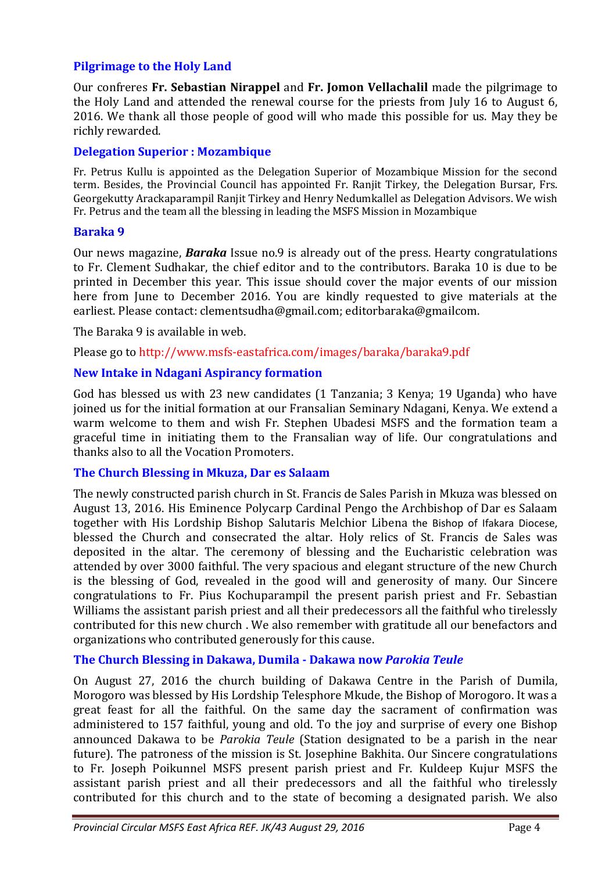## **Pilgrimage to the Holy Land**

Our confreres **Fr. Sebastian Nirappel** and **Fr. Jomon Vellachalil** made the pilgrimage to the Holy Land and attended the renewal course for the priests from July 16 to August 6, 2016. We thank all those people of good will who made this possible for us. May they be richly rewarded.

## **Delegation Superior : Mozambique**

Fr. Petrus Kullu is appointed as the Delegation Superior of Mozambique Mission for the second term. Besides, the Provincial Council has appointed Fr. Ranjit Tirkey, the Delegation Bursar, Frs. Georgekutty Arackaparampil Ranjit Tirkey and Henry Nedumkallel as Delegation Advisors. We wish Fr. Petrus and the team all the blessing in leading the MSFS Mission in Mozambique

### **Baraka 9**

Our news magazine, *Baraka* Issue no.9 is already out of the press. Hearty congratulations to Fr. Clement Sudhakar, the chief editor and to the contributors. Baraka 10 is due to be printed in December this year. This issue should cover the major events of our mission here from June to December 2016. You are kindly requested to give materials at the earliest. Please contact: clementsudha@gmail.com; editorbaraka@gmailcom.

The Baraka 9 is available in web.

Please go to http://www.msfs-eastafrica.com/images/baraka/baraka9.pdf

### **New Intake in Ndagani Aspirancy formation**

God has blessed us with 23 new candidates (1 Tanzania; 3 Kenya; 19 Uganda) who have joined us for the initial formation at our Fransalian Seminary Ndagani, Kenya. We extend a warm welcome to them and wish Fr. Stephen Ubadesi MSFS and the formation team a graceful time in initiating them to the Fransalian way of life. Our congratulations and thanks also to all the Vocation Promoters.

### **The Church Blessing in Mkuza, Dar es Salaam**

The newly constructed parish church in St. Francis de Sales Parish in Mkuza was blessed on August 13, 2016. His Eminence Polycarp Cardinal Pengo the Archbishop of Dar es Salaam together with His Lordship Bishop Salutaris Melchior Libena the Bishop of Ifakara Diocese, blessed the Church and consecrated the altar. Holy relics of St. Francis de Sales was deposited in the altar. The ceremony of blessing and the Eucharistic celebration was attended by over 3000 faithful. The very spacious and elegant structure of the new Church is the blessing of God, revealed in the good will and generosity of many. Our Sincere congratulations to Fr. Pius Kochuparampil the present parish priest and Fr. Sebastian Williams the assistant parish priest and all their predecessors all the faithful who tirelessly contributed for this new church . We also remember with gratitude all our benefactors and organizations who contributed generously for this cause.

### **The Church Blessing in Dakawa, Dumila - Dakawa now** *Parokia Teule*

On August 27, 2016 the church building of Dakawa Centre in the Parish of Dumila, Morogoro was blessed by His Lordship Telesphore Mkude, the Bishop of Morogoro. It was a great feast for all the faithful. On the same day the sacrament of confirmation was administered to 157 faithful, young and old. To the joy and surprise of every one Bishop announced Dakawa to be *Parokia Teule* (Station designated to be a parish in the near future). The patroness of the mission is St. Josephine Bakhita. Our Sincere congratulations to Fr. Joseph Poikunnel MSFS present parish priest and Fr. Kuldeep Kujur MSFS the assistant parish priest and all their predecessors and all the faithful who tirelessly contributed for this church and to the state of becoming a designated parish. We also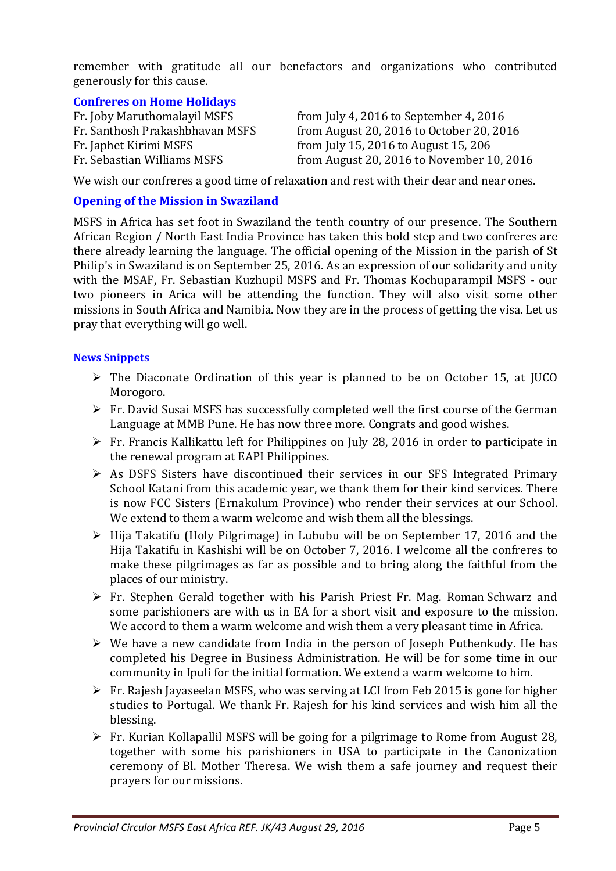remember with gratitude all our benefactors and organizations who contributed generously for this cause.

## **Confreres on Home Holidays**

| Fr. Joby Maruthomalayil MSFS    | from July 4, 2016 to September 4, 2016    |
|---------------------------------|-------------------------------------------|
| Fr. Santhosh Prakashbhavan MSFS | from August 20, 2016 to October 20, 2016  |
| Fr. Japhet Kirimi MSFS          | from July 15, 2016 to August 15, 206      |
| Fr. Sebastian Williams MSFS     | from August 20, 2016 to November 10, 2016 |

We wish our confreres a good time of relaxation and rest with their dear and near ones.

#### **Opening of the Mission in Swaziland**

MSFS in Africa has set foot in Swaziland the tenth country of our presence. The Southern African Region / North East India Province has taken this bold step and two confreres are there already learning the language. The official opening of the Mission in the parish of St Philip's in Swaziland is on September 25, 2016. As an expression of our solidarity and unity with the MSAF, Fr. Sebastian Kuzhupil MSFS and Fr. Thomas Kochuparampil MSFS - our two pioneers in Arica will be attending the function. They will also visit some other missions in South Africa and Namibia. Now they are in the process of getting the visa. Let us pray that everything will go well.

#### **News Snippets**

- $\triangleright$  The Diaconate Ordination of this year is planned to be on October 15, at JUCO Morogoro.
- $\triangleright$  Fr. David Susai MSFS has successfully completed well the first course of the German Language at MMB Pune. He has now three more. Congrats and good wishes.
- $\triangleright$  Fr. Francis Kallikattu left for Philippines on July 28, 2016 in order to participate in the renewal program at EAPI Philippines.
- $\triangleright$  As DSFS Sisters have discontinued their services in our SFS Integrated Primary School Katani from this academic year, we thank them for their kind services. There is now FCC Sisters (Ernakulum Province) who render their services at our School. We extend to them a warm welcome and wish them all the blessings.
- $\triangleright$  Hija Takatifu (Holy Pilgrimage) in Lububu will be on September 17, 2016 and the Hija Takatifu in Kashishi will be on October 7, 2016. I welcome all the confreres to make these pilgrimages as far as possible and to bring along the faithful from the places of our ministry.
- Fr. Stephen Gerald together with his Parish Priest Fr. Mag. Roman Schwarz and some parishioners are with us in EA for a short visit and exposure to the mission. We accord to them a warm welcome and wish them a very pleasant time in Africa.
- $\triangleright$  We have a new candidate from India in the person of Joseph Puthenkudy. He has completed his Degree in Business Administration. He will be for some time in our community in Ipuli for the initial formation. We extend a warm welcome to him.
- $\triangleright$  Fr. Rajesh Jayaseelan MSFS, who was serving at LCI from Feb 2015 is gone for higher studies to Portugal. We thank Fr. Rajesh for his kind services and wish him all the blessing.
- Fr. Kurian Kollapallil MSFS will be going for a pilgrimage to Rome from August 28, together with some his parishioners in USA to participate in the Canonization ceremony of Bl. Mother Theresa. We wish them a safe journey and request their prayers for our missions.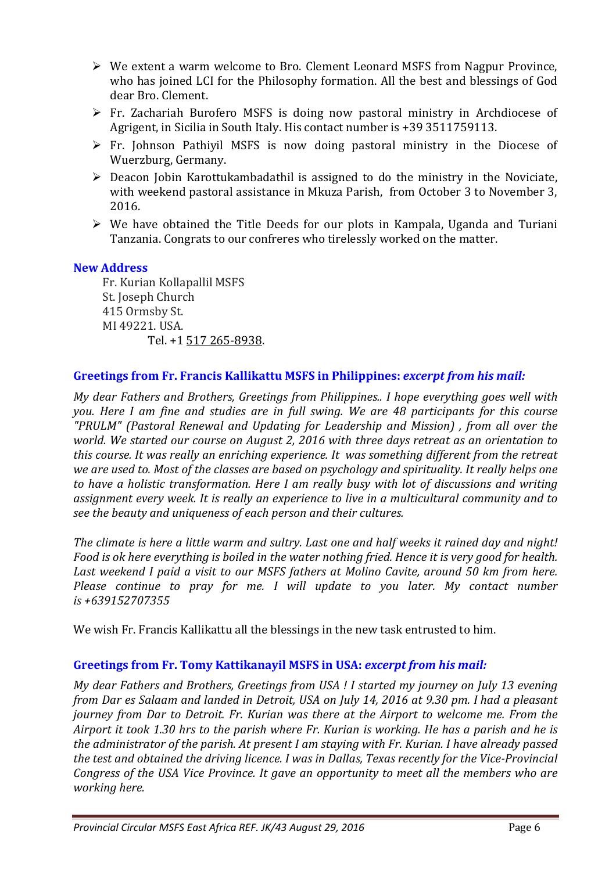- We extent a warm welcome to Bro. Clement Leonard MSFS from Nagpur Province, who has joined LCI for the Philosophy formation. All the best and blessings of God dear Bro. Clement.
- $\triangleright$  Fr. Zachariah Burofero MSFS is doing now pastoral ministry in Archdiocese of Agrigent, in Sicilia in South Italy. His contact number is +39 3511759113.
- $\triangleright$  Fr. Johnson Pathiyil MSFS is now doing pastoral ministry in the Diocese of Wuerzburg, Germany.
- $\triangleright$  Deacon Jobin Karottukambadathil is assigned to do the ministry in the Noviciate, with weekend pastoral assistance in Mkuza Parish, from October 3 to November 3, 2016.
- $\triangleright$  We have obtained the Title Deeds for our plots in Kampala, Uganda and Turiani Tanzania. Congrats to our confreres who tirelessly worked on the matter.

### **New Address**

Fr. Kurian Kollapallil MSFS St. Joseph Church 415 Ormsby St. MI 49221. USA. Tel. +1 517 265-8938.

#### **Greetings from Fr. Francis Kallikattu MSFS in Philippines:** *excerpt from his mail:*

*My dear Fathers and Brothers, Greetings from Philippines.. I hope everything goes well with you. Here I am fine and studies are in full swing. We are 48 participants for this course "PRULM" (Pastoral Renewal and Updating for Leadership and Mission) , from all over the world. We started our course on August 2, 2016 with three days retreat as an orientation to this course. It was really an enriching experience. It was something different from the retreat we are used to. Most of the classes are based on psychology and spirituality. It really helps one to have a holistic transformation. Here I am really busy with lot of discussions and writing assignment every week. It is really an experience to live in a multicultural community and to see the beauty and uniqueness of each person and their cultures.* 

*The climate is here a little warm and sultry. Last one and half weeks it rained day and night! Food is ok here everything is boiled in the water nothing fried. Hence it is very good for health. Last weekend I paid a visit to our MSFS fathers at Molino Cavite, around 50 km from here. Please continue to pray for me. I will update to you later. My contact number is +639152707355* 

We wish Fr. Francis Kallikattu all the blessings in the new task entrusted to him.

### **Greetings from Fr. Tomy Kattikanayil MSFS in USA:** *excerpt from his mail:*

*My dear Fathers and Brothers, Greetings from USA ! I started my journey on July 13 evening from Dar es Salaam and landed in Detroit, USA on July 14, 2016 at 9.30 pm. I had a pleasant journey from Dar to Detroit. Fr. Kurian was there at the Airport to welcome me. From the Airport it took 1.30 hrs to the parish where Fr. Kurian is working. He has a parish and he is the administrator of the parish. At present I am staying with Fr. Kurian. I have already passed the test and obtained the driving licence. I was in Dallas, Texas recently for the Vice-Provincial Congress of the USA Vice Province. It gave an opportunity to meet all the members who are working here.*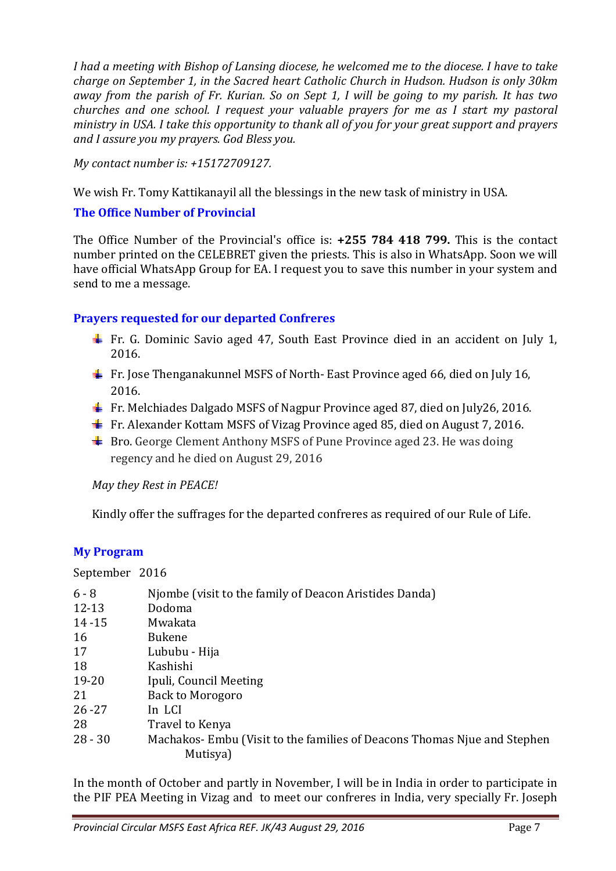*I had a meeting with Bishop of Lansing diocese, he welcomed me to the diocese. I have to take charge on September 1, in the Sacred heart Catholic Church in Hudson. Hudson is only 30km away from the parish of Fr. Kurian. So on Sept 1, I will be going to my parish. It has two churches and one school. I request your valuable prayers for me as I start my pastoral ministry in USA. I take this opportunity to thank all of you for your great support and prayers and I assure you my prayers. God Bless you.* 

*My contact number is: +15172709127.* 

We wish Fr. Tomy Kattikanayil all the blessings in the new task of ministry in USA.

# **The Office Number of Provincial**

The Office Number of the Provincial's office is: **+255 784 418 799.** This is the contact number printed on the CELEBRET given the priests. This is also in WhatsApp. Soon we will have official WhatsApp Group for EA. I request you to save this number in your system and send to me a message.

# **Prayers requested for our departed Confreres**

- Fr. G. Dominic Savio aged 47, South East Province died in an accident on July 1, 2016.
- Fr. Jose Thenganakunnel MSFS of North-East Province aged 66, died on July 16, 2016.
- $\text{F}$  Fr. Melchiades Dalgado MSFS of Nagpur Province aged 87, died on July26, 2016.
- $\pm$  Fr. Alexander Kottam MSFS of Vizag Province aged 85, died on August 7, 2016.
- $\frac{1}{\sqrt{2}}$  Bro. George Clement Anthony MSFS of Pune Province aged 23. He was doing regency and he died on August 29, 2016

*May they Rest in PEACE!* 

Kindly offer the suffrages for the departed confreres as required of our Rule of Life.

### **My Program**

September 2016

| $6 - 8$   | Njombe (visit to the family of Deacon Aristides Danda)                  |
|-----------|-------------------------------------------------------------------------|
| 12-13     | Dodoma                                                                  |
| $14 - 15$ | Mwakata                                                                 |
| 16        | <b>Bukene</b>                                                           |
| 17        | Lububu - Hija                                                           |
| 18        | Kashishi                                                                |
| 19-20     | Ipuli, Council Meeting                                                  |
| 21        | Back to Morogoro                                                        |
| $26 - 27$ | In LCI                                                                  |
| 28        | Travel to Kenya                                                         |
| $28 - 30$ | Machakos-Embu (Visit to the families of Deacons Thomas Njue and Stephen |
|           | Mutisya)                                                                |

In the month of October and partly in November, I will be in India in order to participate in the PIF PEA Meeting in Vizag and to meet our confreres in India, very specially Fr. Joseph